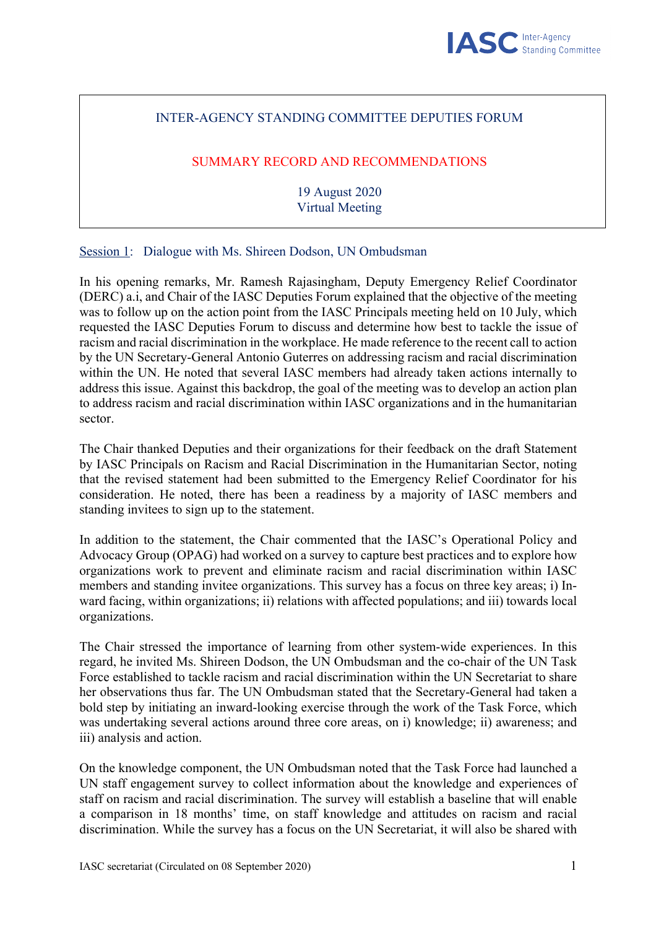## INTER-AGENCY STANDING COMMITTEE DEPUTIES FORUM

# SUMMARY RECORD AND RECOMMENDATIONS

19 August 2020 Virtual Meeting

Session 1: Dialogue with Ms. Shireen Dodson, UN Ombudsman

In his opening remarks, Mr. Ramesh Rajasingham, Deputy Emergency Relief Coordinator (DERC) a.i, and Chair of the IASC Deputies Forum explained that the objective of the meeting was to follow up on the action point from the IASC Principals meeting held on 10 July, which requested the IASC Deputies Forum to discuss and determine how best to tackle the issue of racism and racial discrimination in the workplace. He made reference to the recent call to action by the UN Secretary-General Antonio Guterres on addressing racism and racial discrimination within the UN. He noted that several IASC members had already taken actions internally to address this issue. Against this backdrop, the goal of the meeting was to develop an action plan to address racism and racial discrimination within IASC organizations and in the humanitarian sector.

The Chair thanked Deputies and their organizations for their feedback on the draft Statement by IASC Principals on Racism and Racial Discrimination in the Humanitarian Sector, noting that the revised statement had been submitted to the Emergency Relief Coordinator for his consideration. He noted, there has been a readiness by a majority of IASC members and standing invitees to sign up to the statement.

In addition to the statement, the Chair commented that the IASC's Operational Policy and Advocacy Group (OPAG) had worked on a survey to capture best practices and to explore how organizations work to prevent and eliminate racism and racial discrimination within IASC members and standing invitee organizations. This survey has a focus on three key areas; i) Inward facing, within organizations; ii) relations with affected populations; and iii) towards local organizations.

The Chair stressed the importance of learning from other system-wide experiences. In this regard, he invited Ms. Shireen Dodson, the UN Ombudsman and the co-chair of the UN Task Force established to tackle racism and racial discrimination within the UN Secretariat to share her observations thus far. The UN Ombudsman stated that the Secretary-General had taken a bold step by initiating an inward-looking exercise through the work of the Task Force, which was undertaking several actions around three core areas, on i) knowledge; ii) awareness; and iii) analysis and action.

On the knowledge component, the UN Ombudsman noted that the Task Force had launched a UN staff engagement survey to collect information about the knowledge and experiences of staff on racism and racial discrimination. The survey will establish a baseline that will enable a comparison in 18 months' time, on staff knowledge and attitudes on racism and racial discrimination. While the survey has a focus on the UN Secretariat, it will also be shared with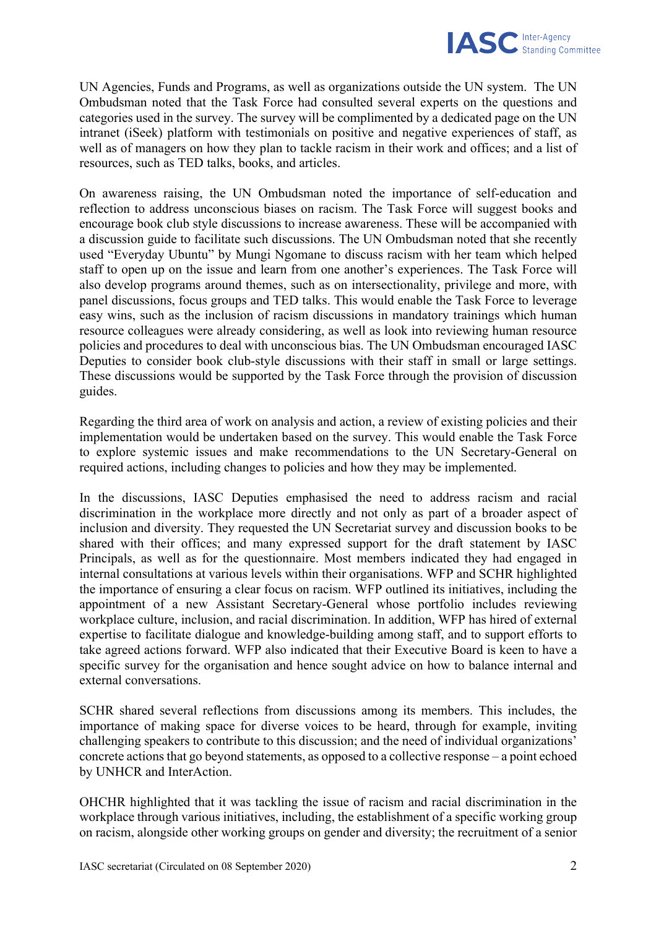

UN Agencies, Funds and Programs, as well as organizations outside the UN system. The UN Ombudsman noted that the Task Force had consulted several experts on the questions and categories used in the survey. The survey will be complimented by a dedicated page on the UN intranet (iSeek) platform with testimonials on positive and negative experiences of staff, as well as of managers on how they plan to tackle racism in their work and offices; and a list of resources, such as TED talks, books, and articles.

On awareness raising, the UN Ombudsman noted the importance of self-education and reflection to address unconscious biases on racism. The Task Force will suggest books and encourage book club style discussions to increase awareness. These will be accompanied with a discussion guide to facilitate such discussions. The UN Ombudsman noted that she recently used "Everyday Ubuntu" by Mungi Ngomane to discuss racism with her team which helped staff to open up on the issue and learn from one another's experiences. The Task Force will also develop programs around themes, such as on intersectionality, privilege and more, with panel discussions, focus groups and TED talks. This would enable the Task Force to leverage easy wins, such as the inclusion of racism discussions in mandatory trainings which human resource colleagues were already considering, as well as look into reviewing human resource policies and procedures to deal with unconscious bias. The UN Ombudsman encouraged IASC Deputies to consider book club-style discussions with their staff in small or large settings. These discussions would be supported by the Task Force through the provision of discussion guides.

Regarding the third area of work on analysis and action, a review of existing policies and their implementation would be undertaken based on the survey. This would enable the Task Force to explore systemic issues and make recommendations to the UN Secretary-General on required actions, including changes to policies and how they may be implemented.

In the discussions, IASC Deputies emphasised the need to address racism and racial discrimination in the workplace more directly and not only as part of a broader aspect of inclusion and diversity. They requested the UN Secretariat survey and discussion books to be shared with their offices; and many expressed support for the draft statement by IASC Principals, as well as for the questionnaire. Most members indicated they had engaged in internal consultations at various levels within their organisations. WFP and SCHR highlighted the importance of ensuring a clear focus on racism. WFP outlined its initiatives, including the appointment of a new Assistant Secretary-General whose portfolio includes reviewing workplace culture, inclusion, and racial discrimination. In addition, WFP has hired of external expertise to facilitate dialogue and knowledge-building among staff, and to support efforts to take agreed actions forward. WFP also indicated that their Executive Board is keen to have a specific survey for the organisation and hence sought advice on how to balance internal and external conversations.

SCHR shared several reflections from discussions among its members. This includes, the importance of making space for diverse voices to be heard, through for example, inviting challenging speakers to contribute to this discussion; and the need of individual organizations' concrete actions that go beyond statements, as opposed to a collective response  $-$  a point echoed by UNHCR and InterAction.

OHCHR highlighted that it was tackling the issue of racism and racial discrimination in the workplace through various initiatives, including, the establishment of a specific working group on racism, alongside other working groups on gender and diversity; the recruitment of a senior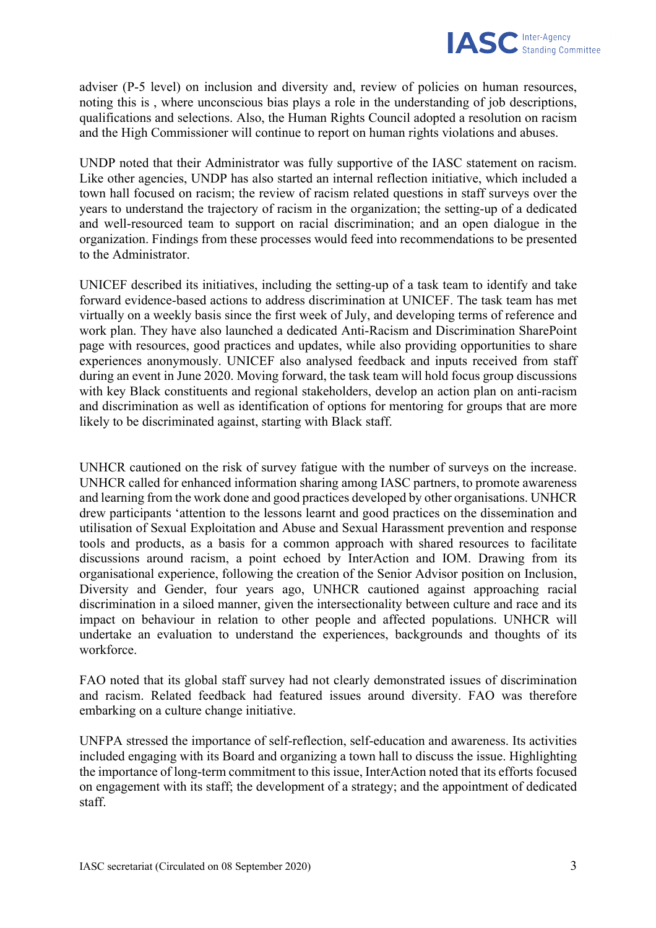

adviser (P-5 level) on inclusion and diversity and, review of policies on human resources, noting this is , where unconscious bias plays a role in the understanding of job descriptions, qualifications and selections. Also, the Human Rights Council adopted a resolution on racism and the High Commissioner will continue to report on human rights violations and abuses.

UNDP noted that their Administrator was fully supportive of the IASC statement on racism. Like other agencies, UNDP has also started an internal reflection initiative, which included a town hall focused on racism; the review of racism related questions in staff surveys over the years to understand the trajectory of racism in the organization; the setting-up of a dedicated and well-resourced team to support on racial discrimination; and an open dialogue in the organization. Findings from these processes would feed into recommendations to be presented to the Administrator.

UNICEF described its initiatives, including the setting-up of a task team to identify and take forward evidence-based actions to address discrimination at UNICEF. The task team has met virtually on a weekly basis since the first week of July, and developing terms of reference and work plan. They have also launched a dedicated Anti-Racism and Discrimination SharePoint page with resources, good practices and updates, while also providing opportunities to share experiences anonymously. UNICEF also analysed feedback and inputs received from staff during an event in June 2020. Moving forward, the task team will hold focus group discussions with key Black constituents and regional stakeholders, develop an action plan on anti-racism and discrimination as well as identification of options for mentoring for groups that are more likely to be discriminated against, starting with Black staff.

UNHCR cautioned on the risk of survey fatigue with the number of surveys on the increase. UNHCR called for enhanced information sharing among IASC partners, to promote awareness and learning from the work done and good practices developed by other organisations. UNHCR drew participants 'attention to the lessons learnt and good practices on the dissemination and utilisation of Sexual Exploitation and Abuse and Sexual Harassment prevention and response tools and products, as a basis for a common approach with shared resources to facilitate discussions around racism, a point echoed by InterAction and IOM. Drawing from its organisational experience, following the creation of the Senior Advisor position on Inclusion, Diversity and Gender, four years ago, UNHCR cautioned against approaching racial discrimination in a siloed manner, given the intersectionality between culture and race and its impact on behaviour in relation to other people and affected populations. UNHCR will undertake an evaluation to understand the experiences, backgrounds and thoughts of its workforce.

FAO noted that its global staff survey had not clearly demonstrated issues of discrimination and racism. Related feedback had featured issues around diversity. FAO was therefore embarking on a culture change initiative.

UNFPA stressed the importance of self-reflection, self-education and awareness. Its activities included engaging with its Board and organizing a town hall to discuss the issue. Highlighting the importance of long-term commitment to this issue, InterAction noted that its efforts focused on engagement with its staff; the development of a strategy; and the appointment of dedicated staff.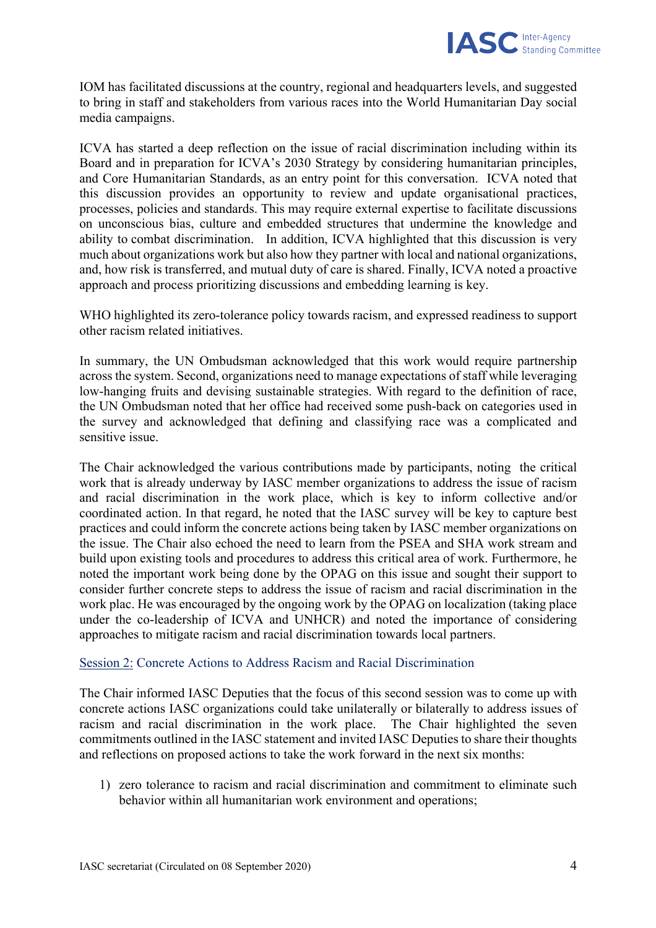

IOM has facilitated discussions at the country, regional and headquarters levels, and suggested to bring in staff and stakeholders from various races into the World Humanitarian Day social media campaigns.

ICVA has started a deep reflection on the issue of racial discrimination including within its Board and in preparation for ICVA's 2030 Strategy by considering humanitarian principles, and Core Humanitarian Standards, as an entry point for this conversation. ICVA noted that this discussion provides an opportunity to review and update organisational practices, processes, policies and standards. This may require external expertise to facilitate discussions on unconscious bias, culture and embedded structures that undermine the knowledge and ability to combat discrimination. In addition, ICVA highlighted that this discussion is very much about organizations work but also how they partner with local and national organizations, and, how risk is transferred, and mutual duty of care is shared. Finally, ICVA noted a proactive approach and process prioritizing discussions and embedding learning is key.

WHO highlighted its zero-tolerance policy towards racism, and expressed readiness to support other racism related initiatives.

In summary, the UN Ombudsman acknowledged that this work would require partnership across the system. Second, organizations need to manage expectations of staff while leveraging low-hanging fruits and devising sustainable strategies. With regard to the definition of race, the UN Ombudsman noted that her office had received some push-back on categories used in the survey and acknowledged that defining and classifying race was a complicated and sensitive issue.

The Chair acknowledged the various contributions made by participants, noting the critical work that is already underway by IASC member organizations to address the issue of racism and racial discrimination in the work place, which is key to inform collective and/or coordinated action. In that regard, he noted that the IASC survey will be key to capture best practices and could inform the concrete actions being taken by IASC member organizations on the issue. The Chair also echoed the need to learn from the PSEA and SHA work stream and build upon existing tools and procedures to address this critical area of work. Furthermore, he noted the important work being done by the OPAG on this issue and sought their support to consider further concrete steps to address the issue of racism and racial discrimination in the work plac. He was encouraged by the ongoing work by the OPAG on localization (taking place under the co-leadership of ICVA and UNHCR) and noted the importance of considering approaches to mitigate racism and racial discrimination towards local partners.

### Session 2: Concrete Actions to Address Racism and Racial Discrimination

The Chair informed IASC Deputies that the focus of this second session was to come up with concrete actions IASC organizations could take unilaterally or bilaterally to address issues of racism and racial discrimination in the work place. The Chair highlighted the seven commitments outlined in the IASC statement and invited IASC Deputies to share their thoughts and reflections on proposed actions to take the work forward in the next six months:

1) zero tolerance to racism and racial discrimination and commitment to eliminate such behavior within all humanitarian work environment and operations;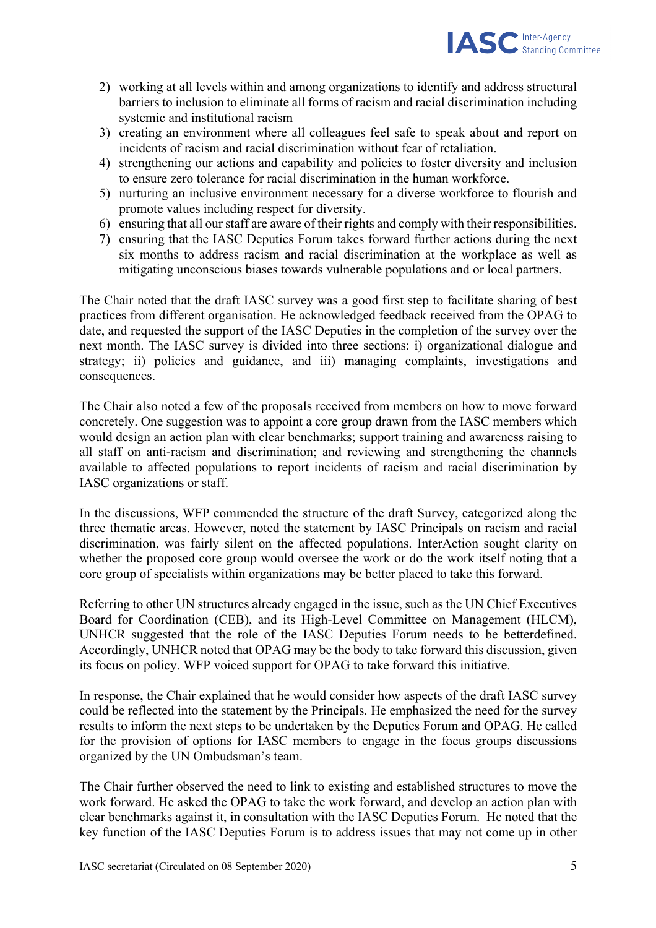

- 2) working at all levels within and among organizations to identify and address structural barriers to inclusion to eliminate all forms of racism and racial discrimination including systemic and institutional racism
- 3) creating an environment where all colleagues feel safe to speak about and report on incidents of racism and racial discrimination without fear of retaliation.
- 4) strengthening our actions and capability and policies to foster diversity and inclusion to ensure zero tolerance for racial discrimination in the human workforce.
- 5) nurturing an inclusive environment necessary for a diverse workforce to flourish and promote values including respect for diversity.
- 6) ensuring that all our staff are aware of their rights and comply with their responsibilities.
- 7) ensuring that the IASC Deputies Forum takes forward further actions during the next six months to address racism and racial discrimination at the workplace as well as mitigating unconscious biases towards vulnerable populations and or local partners.

The Chair noted that the draft IASC survey was a good first step to facilitate sharing of best practices from different organisation. He acknowledged feedback received from the OPAG to date, and requested the support of the IASC Deputies in the completion of the survey over the next month. The IASC survey is divided into three sections: i) organizational dialogue and strategy; ii) policies and guidance, and iii) managing complaints, investigations and consequences.

The Chair also noted a few of the proposals received from members on how to move forward concretely. One suggestion was to appoint a core group drawn from the IASC members which would design an action plan with clear benchmarks; support training and awareness raising to all staff on anti-racism and discrimination; and reviewing and strengthening the channels available to affected populations to report incidents of racism and racial discrimination by IASC organizations or staff.

In the discussions, WFP commended the structure of the draft Survey, categorized along the three thematic areas. However, noted the statement by IASC Principals on racism and racial discrimination, was fairly silent on the affected populations. InterAction sought clarity on whether the proposed core group would oversee the work or do the work itself noting that a core group of specialists within organizations may be better placed to take this forward.

Referring to other UN structures already engaged in the issue, such as the UN Chief Executives Board for Coordination (CEB), and its High-Level Committee on Management (HLCM), UNHCR suggested that the role of the IASC Deputies Forum needs to be betterdefined. Accordingly, UNHCR noted that OPAG may be the body to take forward this discussion, given its focus on policy. WFP voiced support for OPAG to take forward this initiative.

In response, the Chair explained that he would consider how aspects of the draft IASC survey could be reflected into the statement by the Principals. He emphasized the need for the survey results to inform the next steps to be undertaken by the Deputies Forum and OPAG. He called for the provision of options for IASC members to engage in the focus groups discussions organized by the UN Ombudsman's team.

The Chair further observed the need to link to existing and established structures to move the work forward. He asked the OPAG to take the work forward, and develop an action plan with clear benchmarks against it, in consultation with the IASC Deputies Forum. He noted that the key function of the IASC Deputies Forum is to address issues that may not come up in other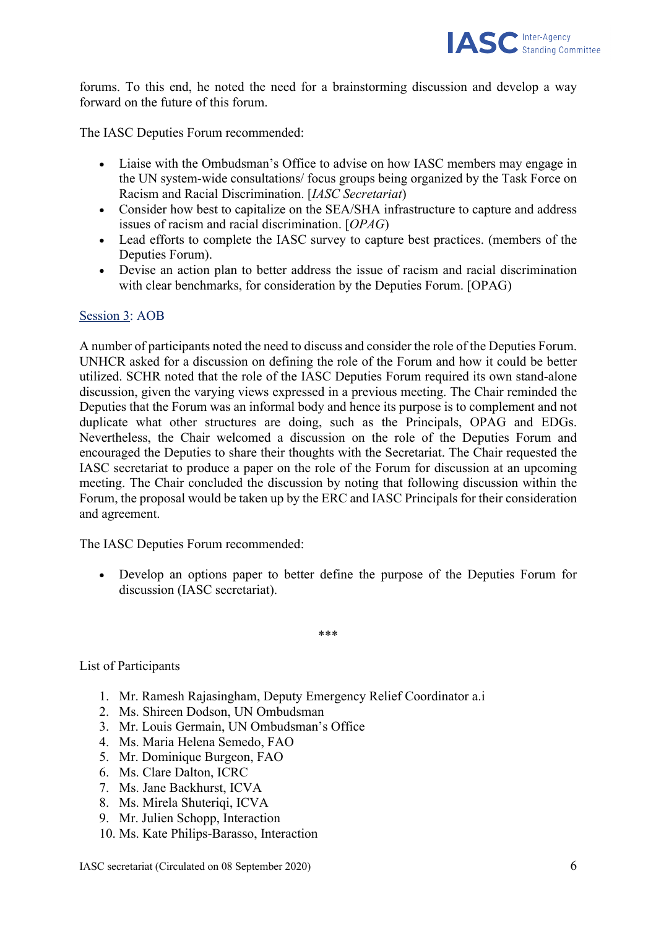

forums. To this end, he noted the need for a brainstorming discussion and develop a way forward on the future of this forum.

The IASC Deputies Forum recommended:

- Liaise with the Ombudsman's Office to advise on how IASC members may engage in the UN system-wide consultations/ focus groups being organized by the Task Force on Racism and Racial Discrimination. [*IASC Secretariat*)
- Consider how best to capitalize on the SEA/SHA infrastructure to capture and address issues of racism and racial discrimination. [*OPAG*)
- Lead efforts to complete the IASC survey to capture best practices. (members of the Deputies Forum).
- Devise an action plan to better address the issue of racism and racial discrimination with clear benchmarks, for consideration by the Deputies Forum. [OPAG)

#### Session 3: AOB

A number of participants noted the need to discuss and consider the role of the Deputies Forum. UNHCR asked for a discussion on defining the role of the Forum and how it could be better utilized. SCHR noted that the role of the IASC Deputies Forum required its own stand-alone discussion, given the varying views expressed in a previous meeting. The Chair reminded the Deputies that the Forum was an informal body and hence its purpose is to complement and not duplicate what other structures are doing, such as the Principals, OPAG and EDGs. Nevertheless, the Chair welcomed a discussion on the role of the Deputies Forum and encouraged the Deputies to share their thoughts with the Secretariat. The Chair requested the IASC secretariat to produce a paper on the role of the Forum for discussion at an upcoming meeting. The Chair concluded the discussion by noting that following discussion within the Forum, the proposal would be taken up by the ERC and IASC Principals for their consideration and agreement.

The IASC Deputies Forum recommended:

• Develop an options paper to better define the purpose of the Deputies Forum for discussion (IASC secretariat).

\*\*\*

#### List of Participants

- 1. Mr. Ramesh Rajasingham, Deputy Emergency Relief Coordinator a.i
- 2. Ms. Shireen Dodson, UN Ombudsman
- 3. Mr. Louis Germain, UN Ombudsman's Office
- 4. Ms. Maria Helena Semedo, FAO
- 5. Mr. Dominique Burgeon, FAO
- 6. Ms. Clare Dalton, ICRC
- 7. Ms. Jane Backhurst, ICVA
- 8. Ms. Mirela Shuteriqi, ICVA
- 9. Mr. Julien Schopp, Interaction
- 10. Ms. Kate Philips-Barasso, Interaction